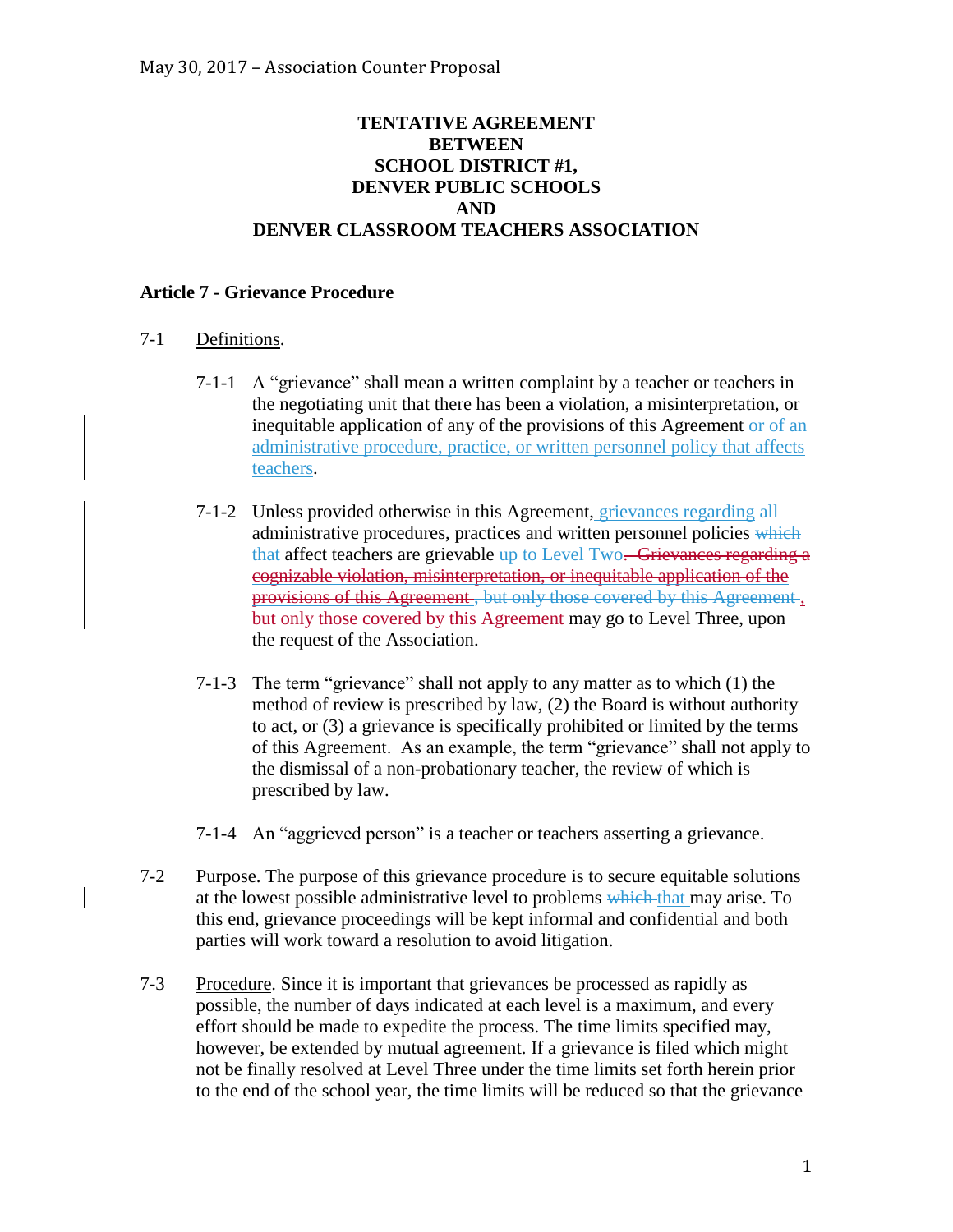## **TENTATIVE AGREEMENT BETWEEN SCHOOL DISTRICT #1, DENVER PUBLIC SCHOOLS AND DENVER CLASSROOM TEACHERS ASSOCIATION**

## **Article 7 - Grievance Procedure**

## 7-1 Definitions.

- 7-1-1 A "grievance" shall mean a written complaint by a teacher or teachers in the negotiating unit that there has been a violation, a misinterpretation, or inequitable application of any of the provisions of this Agreement or of an administrative procedure, practice, or written personnel policy that affects teachers.
- 7-1-2 Unless provided otherwise in this Agreement, grievances regarding all administrative procedures, practices and written personnel policies which that affect teachers are grievable up to Level Two. Grievances regarding a cognizable violation, misinterpretation, or inequitable application of the provisions of this Agreement, but only those covered by this Agreement, but only those covered by this Agreement may go to Level Three, upon the request of the Association.
- 7-1-3 The term "grievance" shall not apply to any matter as to which (1) the method of review is prescribed by law, (2) the Board is without authority to act, or (3) a grievance is specifically prohibited or limited by the terms of this Agreement. As an example, the term "grievance" shall not apply to the dismissal of a non-probationary teacher, the review of which is prescribed by law.
- 7-1-4 An "aggrieved person" is a teacher or teachers asserting a grievance.
- 7-2 Purpose. The purpose of this grievance procedure is to secure equitable solutions at the lowest possible administrative level to problems which that may arise. To this end, grievance proceedings will be kept informal and confidential and both parties will work toward a resolution to avoid litigation.
- 7-3 Procedure. Since it is important that grievances be processed as rapidly as possible, the number of days indicated at each level is a maximum, and every effort should be made to expedite the process. The time limits specified may, however, be extended by mutual agreement. If a grievance is filed which might not be finally resolved at Level Three under the time limits set forth herein prior to the end of the school year, the time limits will be reduced so that the grievance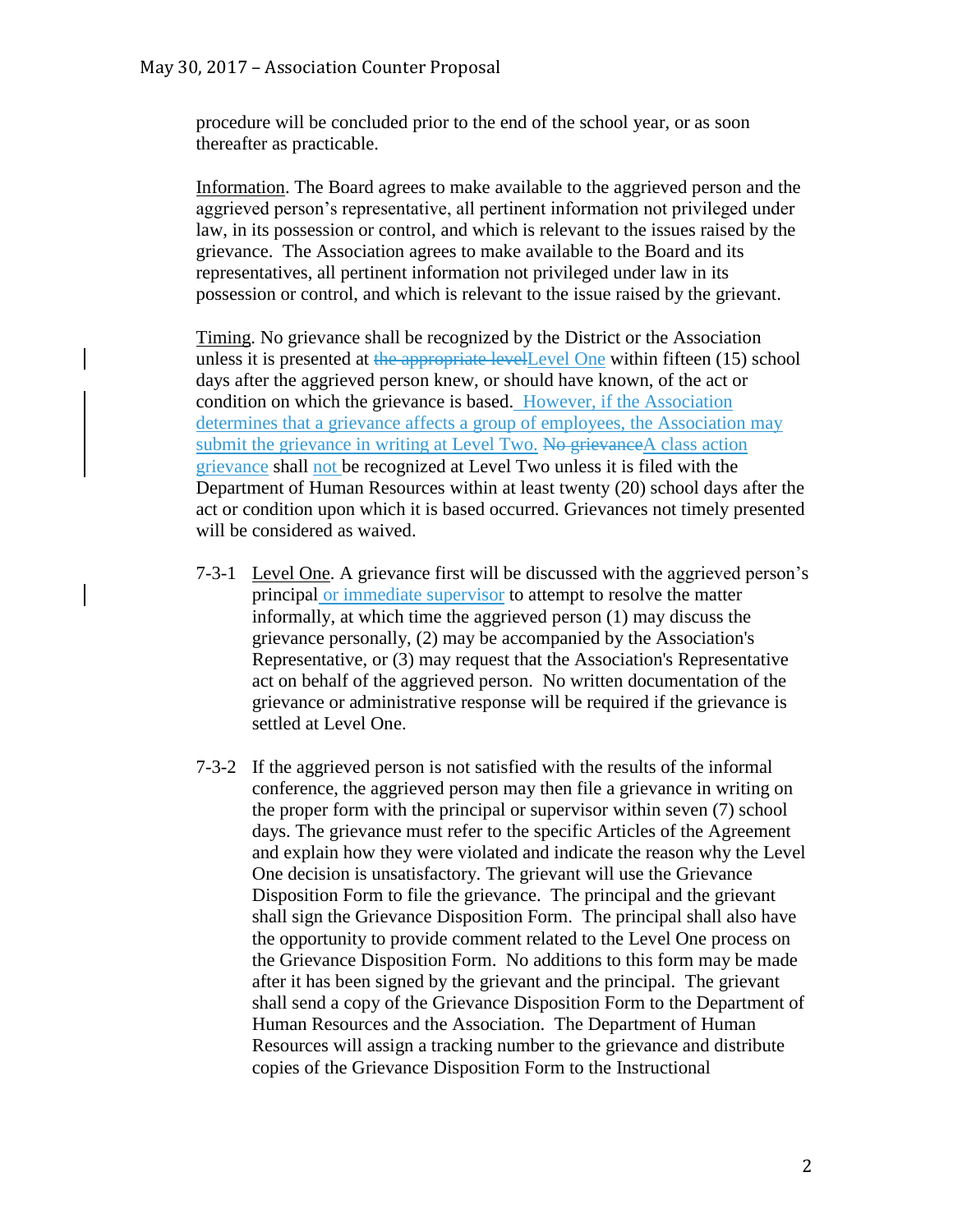procedure will be concluded prior to the end of the school year, or as soon thereafter as practicable.

Information. The Board agrees to make available to the aggrieved person and the aggrieved person's representative, all pertinent information not privileged under law, in its possession or control, and which is relevant to the issues raised by the grievance. The Association agrees to make available to the Board and its representatives, all pertinent information not privileged under law in its possession or control, and which is relevant to the issue raised by the grievant.

Timing. No grievance shall be recognized by the District or the Association unless it is presented at the appropriate levelLevel One within fifteen (15) school days after the aggrieved person knew, or should have known, of the act or condition on which the grievance is based. However, if the Association determines that a grievance affects a group of employees, the Association may submit the grievance in writing at Level Two. No grievance A class action grievance shall not be recognized at Level Two unless it is filed with the Department of Human Resources within at least twenty (20) school days after the act or condition upon which it is based occurred. Grievances not timely presented will be considered as waived.

- 7-3-1 Level One. A grievance first will be discussed with the aggrieved person's principal or immediate supervisor to attempt to resolve the matter informally, at which time the aggrieved person (1) may discuss the grievance personally, (2) may be accompanied by the Association's Representative, or (3) may request that the Association's Representative act on behalf of the aggrieved person. No written documentation of the grievance or administrative response will be required if the grievance is settled at Level One.
- 7-3-2 If the aggrieved person is not satisfied with the results of the informal conference, the aggrieved person may then file a grievance in writing on the proper form with the principal or supervisor within seven (7) school days. The grievance must refer to the specific Articles of the Agreement and explain how they were violated and indicate the reason why the Level One decision is unsatisfactory. The grievant will use the Grievance Disposition Form to file the grievance. The principal and the grievant shall sign the Grievance Disposition Form. The principal shall also have the opportunity to provide comment related to the Level One process on the Grievance Disposition Form. No additions to this form may be made after it has been signed by the grievant and the principal. The grievant shall send a copy of the Grievance Disposition Form to the Department of Human Resources and the Association. The Department of Human Resources will assign a tracking number to the grievance and distribute copies of the Grievance Disposition Form to the Instructional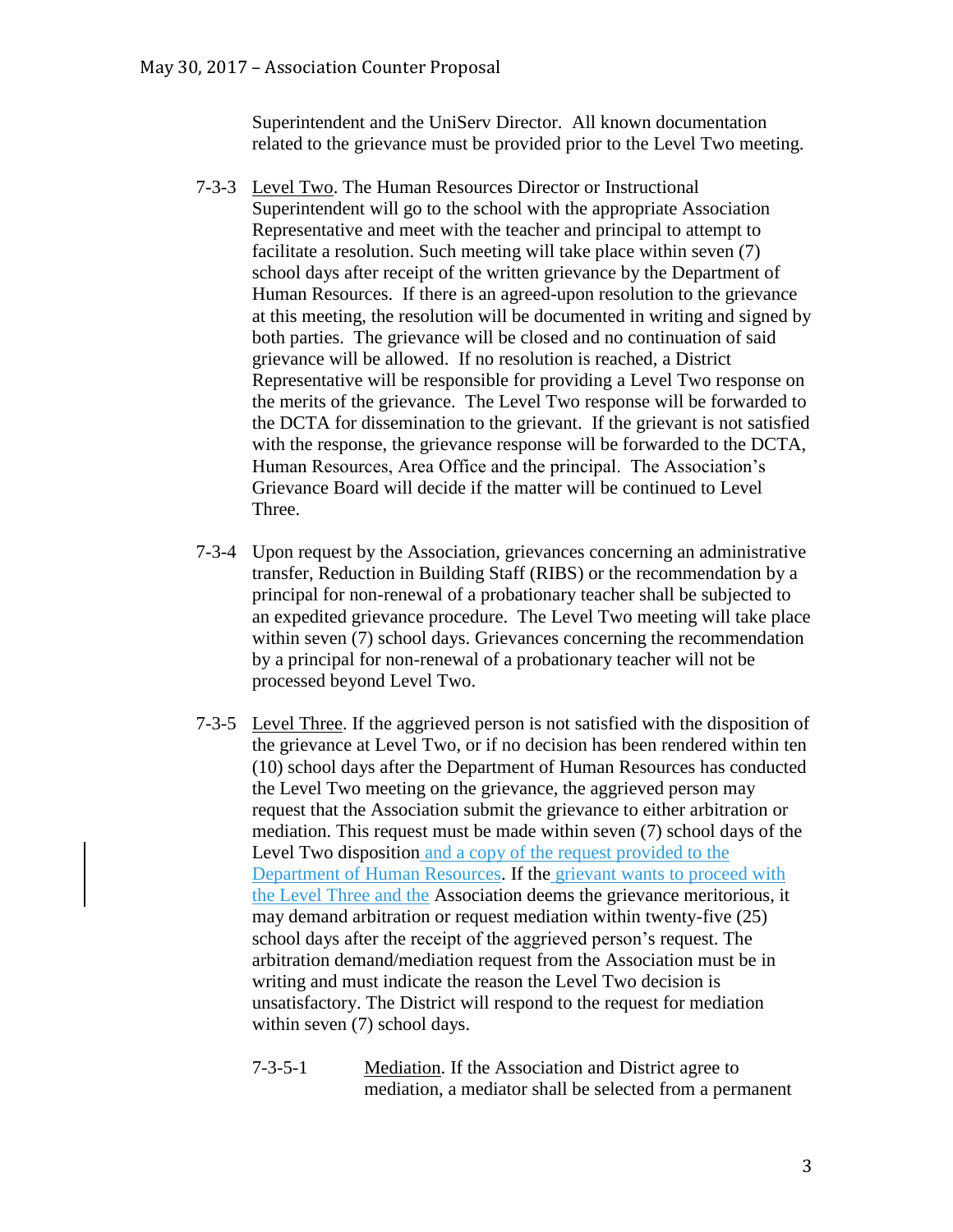Superintendent and the UniServ Director. All known documentation related to the grievance must be provided prior to the Level Two meeting.

- 7-3-3 Level Two. The Human Resources Director or Instructional Superintendent will go to the school with the appropriate Association Representative and meet with the teacher and principal to attempt to facilitate a resolution. Such meeting will take place within seven (7) school days after receipt of the written grievance by the Department of Human Resources. If there is an agreed-upon resolution to the grievance at this meeting, the resolution will be documented in writing and signed by both parties. The grievance will be closed and no continuation of said grievance will be allowed. If no resolution is reached, a District Representative will be responsible for providing a Level Two response on the merits of the grievance. The Level Two response will be forwarded to the DCTA for dissemination to the grievant. If the grievant is not satisfied with the response, the grievance response will be forwarded to the DCTA, Human Resources, Area Office and the principal. The Association's Grievance Board will decide if the matter will be continued to Level Three.
- 7-3-4 Upon request by the Association, grievances concerning an administrative transfer, Reduction in Building Staff (RIBS) or the recommendation by a principal for non-renewal of a probationary teacher shall be subjected to an expedited grievance procedure. The Level Two meeting will take place within seven (7) school days. Grievances concerning the recommendation by a principal for non-renewal of a probationary teacher will not be processed beyond Level Two.
- 7-3-5 Level Three. If the aggrieved person is not satisfied with the disposition of the grievance at Level Two, or if no decision has been rendered within ten (10) school days after the Department of Human Resources has conducted the Level Two meeting on the grievance, the aggrieved person may request that the Association submit the grievance to either arbitration or mediation. This request must be made within seven (7) school days of the Level Two disposition and a copy of the request provided to the Department of Human Resources. If the grievant wants to proceed with the Level Three and the Association deems the grievance meritorious, it may demand arbitration or request mediation within twenty-five (25) school days after the receipt of the aggrieved person's request. The arbitration demand/mediation request from the Association must be in writing and must indicate the reason the Level Two decision is unsatisfactory. The District will respond to the request for mediation within seven (7) school days.
	- 7-3-5-1 Mediation. If the Association and District agree to mediation, a mediator shall be selected from a permanent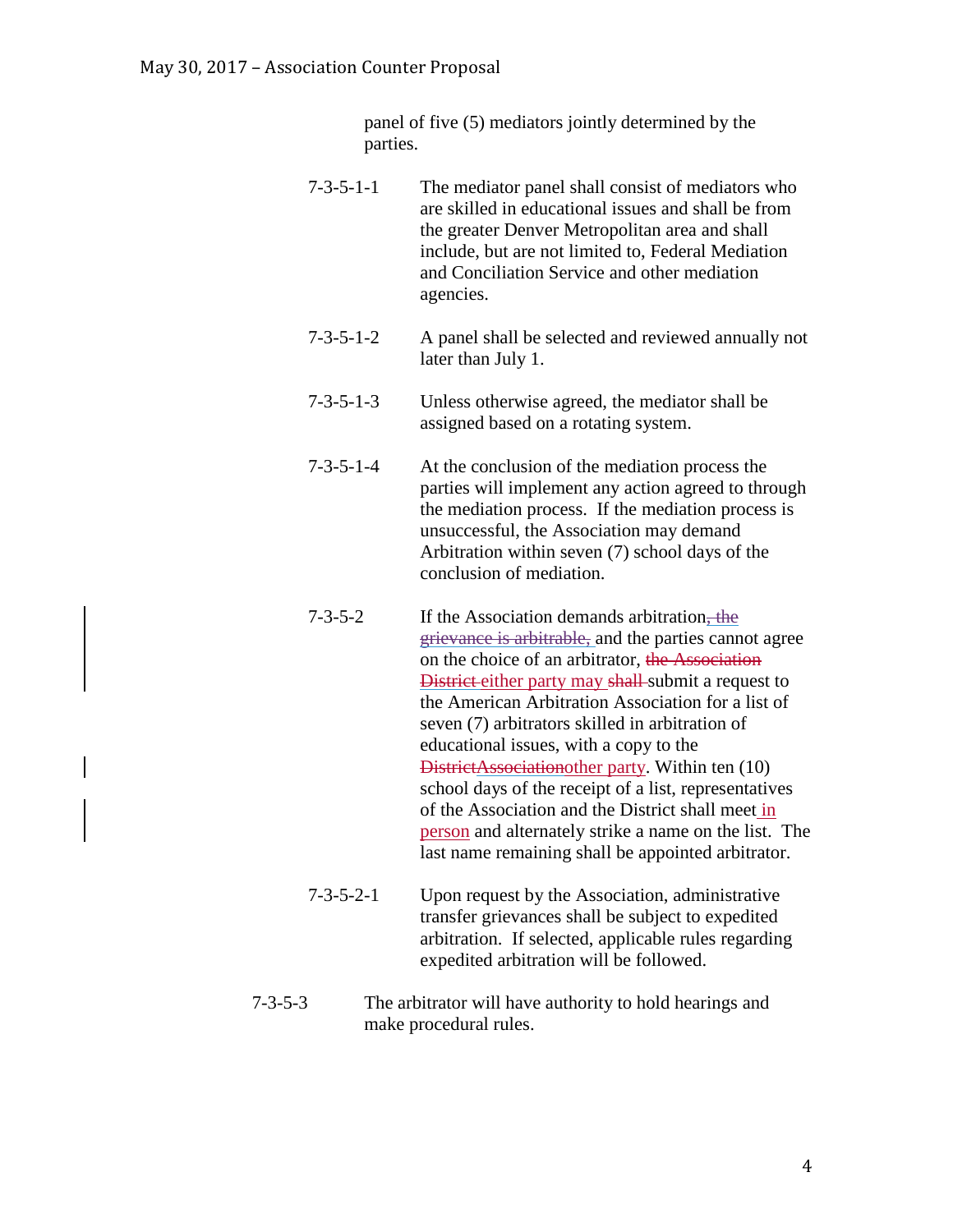panel of five (5) mediators jointly determined by the parties.

- 7-3-5-1-1 The mediator panel shall consist of mediators who are skilled in educational issues and shall be from the greater Denver Metropolitan area and shall include, but are not limited to, Federal Mediation and Conciliation Service and other mediation agencies.
- 7-3-5-1-2 A panel shall be selected and reviewed annually not later than July 1.
- 7-3-5-1-3 Unless otherwise agreed, the mediator shall be assigned based on a rotating system.
- 7-3-5-1-4 At the conclusion of the mediation process the parties will implement any action agreed to through the mediation process. If the mediation process is unsuccessful, the Association may demand Arbitration within seven (7) school days of the conclusion of mediation.
- 7-3-5-2 If the Association demands arbitration, the grievance is arbitrable, and the parties cannot agree on the choice of an arbitrator, the Association District either party may shall-submit a request to the American Arbitration Association for a list of seven (7) arbitrators skilled in arbitration of educational issues, with a copy to the DistrictAssociationother party. Within ten (10) school days of the receipt of a list, representatives of the Association and the District shall meet in person and alternately strike a name on the list. The last name remaining shall be appointed arbitrator.
- 7-3-5-2-1 Upon request by the Association, administrative transfer grievances shall be subject to expedited arbitration. If selected, applicable rules regarding expedited arbitration will be followed.
- 7-3-5-3 The arbitrator will have authority to hold hearings and make procedural rules.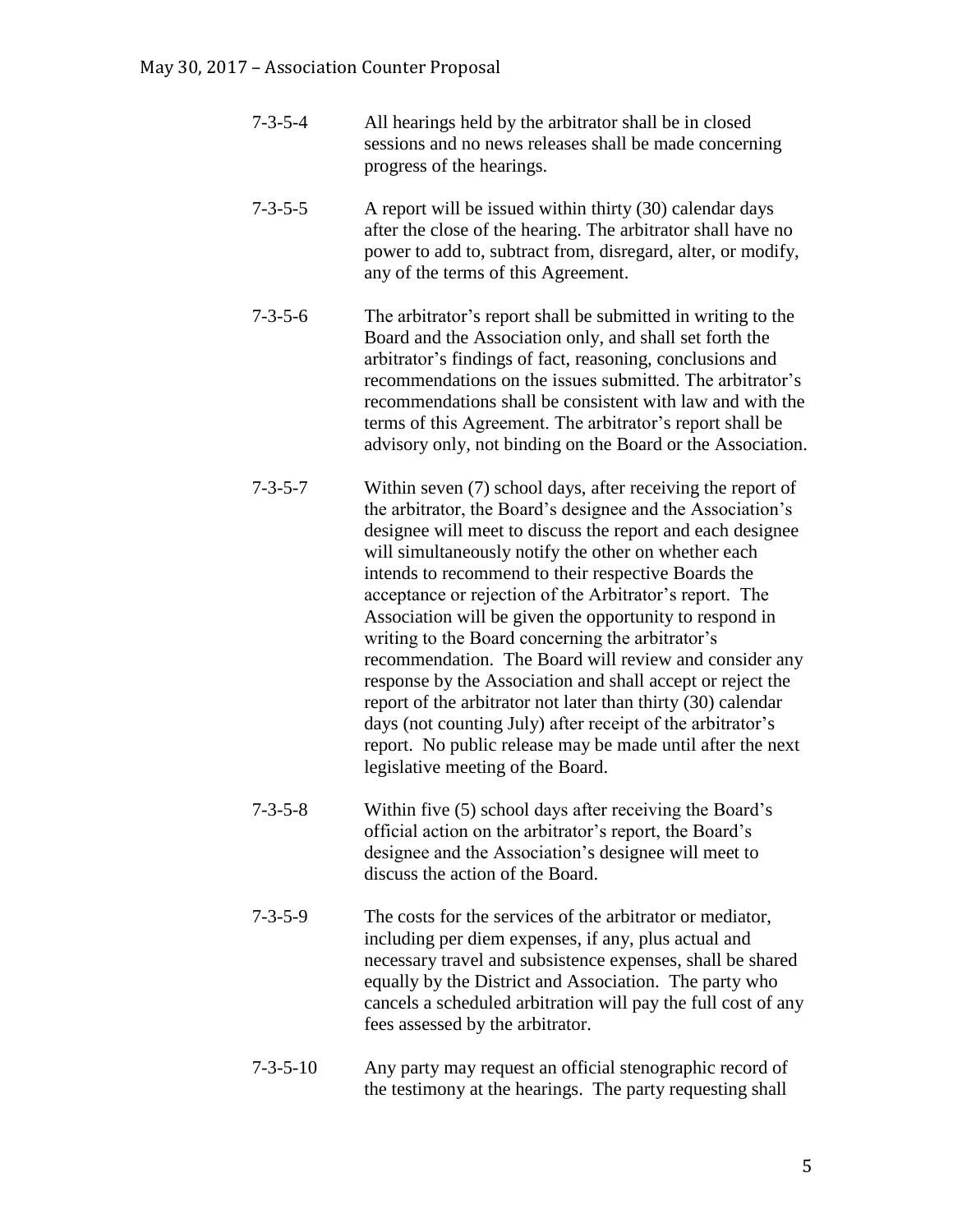- 7-3-5-4 All hearings held by the arbitrator shall be in closed sessions and no news releases shall be made concerning progress of the hearings.
- 7-3-5-5 A report will be issued within thirty (30) calendar days after the close of the hearing. The arbitrator shall have no power to add to, subtract from, disregard, alter, or modify, any of the terms of this Agreement.
- 7-3-5-6 The arbitrator's report shall be submitted in writing to the Board and the Association only, and shall set forth the arbitrator's findings of fact, reasoning, conclusions and recommendations on the issues submitted. The arbitrator's recommendations shall be consistent with law and with the terms of this Agreement. The arbitrator's report shall be advisory only, not binding on the Board or the Association.
- 7-3-5-7 Within seven (7) school days, after receiving the report of the arbitrator, the Board's designee and the Association's designee will meet to discuss the report and each designee will simultaneously notify the other on whether each intends to recommend to their respective Boards the acceptance or rejection of the Arbitrator's report. The Association will be given the opportunity to respond in writing to the Board concerning the arbitrator's recommendation. The Board will review and consider any response by the Association and shall accept or reject the report of the arbitrator not later than thirty (30) calendar days (not counting July) after receipt of the arbitrator's report. No public release may be made until after the next legislative meeting of the Board.
- 7-3-5-8 Within five (5) school days after receiving the Board's official action on the arbitrator's report, the Board's designee and the Association's designee will meet to discuss the action of the Board.
- 7-3-5-9 The costs for the services of the arbitrator or mediator, including per diem expenses, if any, plus actual and necessary travel and subsistence expenses, shall be shared equally by the District and Association. The party who cancels a scheduled arbitration will pay the full cost of any fees assessed by the arbitrator.
- 7-3-5-10 Any party may request an official stenographic record of the testimony at the hearings. The party requesting shall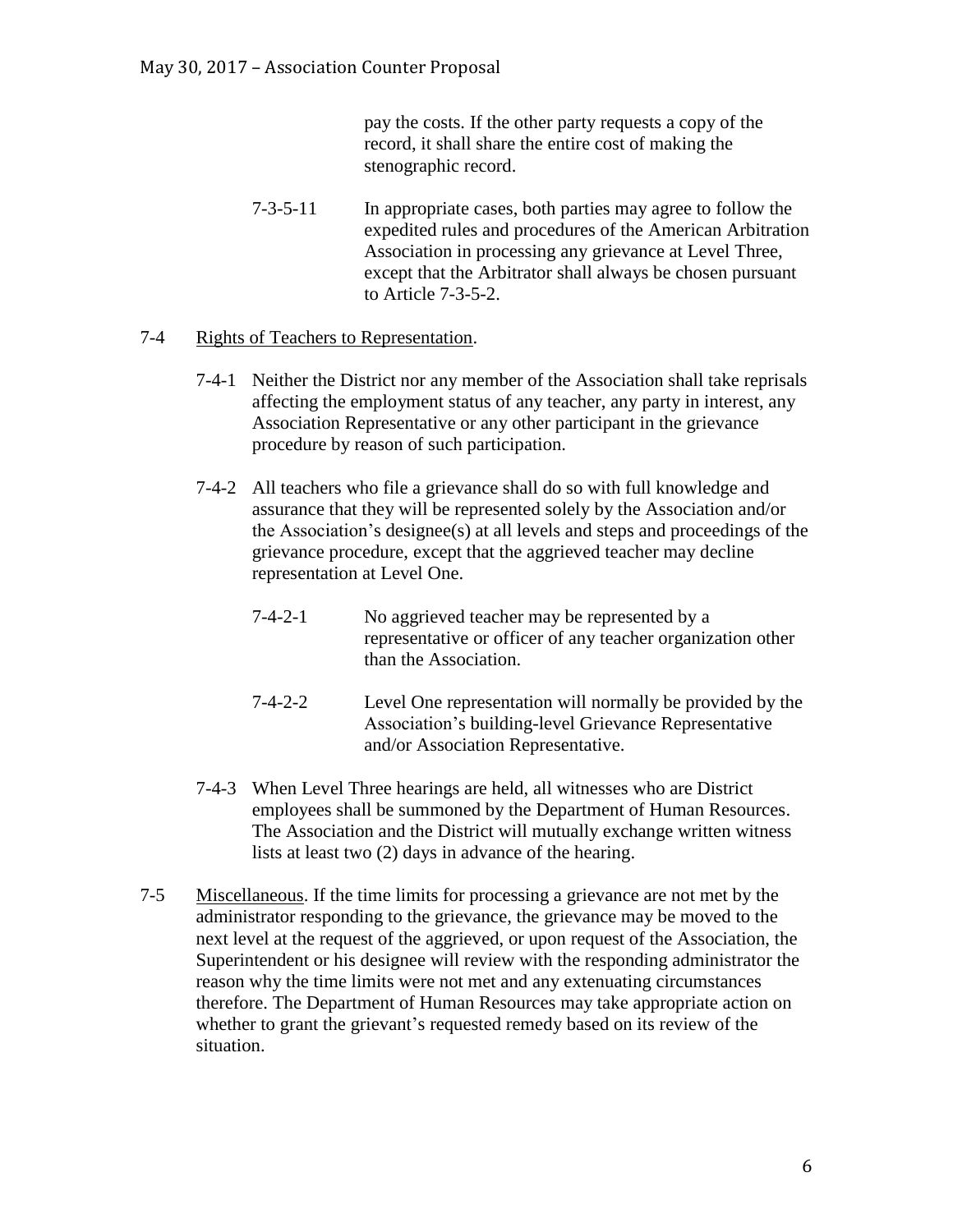pay the costs. If the other party requests a copy of the record, it shall share the entire cost of making the stenographic record.

7-3-5-11 In appropriate cases, both parties may agree to follow the expedited rules and procedures of the American Arbitration Association in processing any grievance at Level Three, except that the Arbitrator shall always be chosen pursuant to Article 7-3-5-2.

## 7-4 Rights of Teachers to Representation.

- 7-4-1 Neither the District nor any member of the Association shall take reprisals affecting the employment status of any teacher, any party in interest, any Association Representative or any other participant in the grievance procedure by reason of such participation.
- 7-4-2 All teachers who file a grievance shall do so with full knowledge and assurance that they will be represented solely by the Association and/or the Association's designee(s) at all levels and steps and proceedings of the grievance procedure, except that the aggrieved teacher may decline representation at Level One.
	- 7-4-2-1 No aggrieved teacher may be represented by a representative or officer of any teacher organization other than the Association.
	- 7-4-2-2 Level One representation will normally be provided by the Association's building-level Grievance Representative and/or Association Representative.
- 7-4-3 When Level Three hearings are held, all witnesses who are District employees shall be summoned by the Department of Human Resources. The Association and the District will mutually exchange written witness lists at least two (2) days in advance of the hearing.
- 7-5 Miscellaneous. If the time limits for processing a grievance are not met by the administrator responding to the grievance, the grievance may be moved to the next level at the request of the aggrieved, or upon request of the Association, the Superintendent or his designee will review with the responding administrator the reason why the time limits were not met and any extenuating circumstances therefore. The Department of Human Resources may take appropriate action on whether to grant the grievant's requested remedy based on its review of the situation.